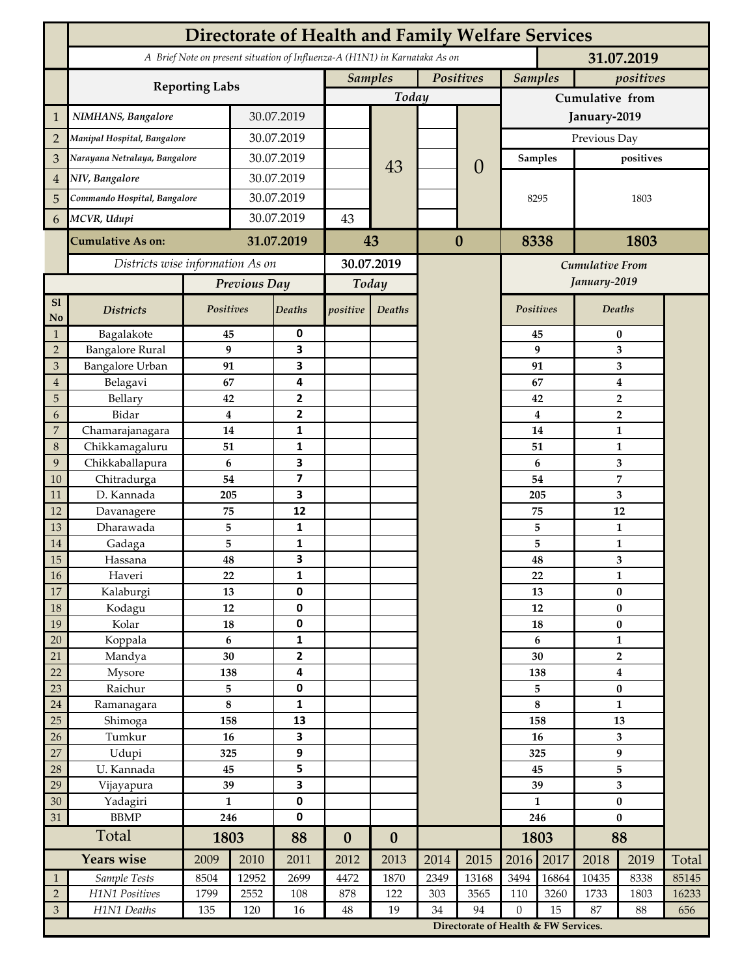|                     | <b>Directorate of Health and Family Welfare Services</b>                                 |                        |            |                           |                  |                             |          |                                      |                             |                |                           |              |       |  |
|---------------------|------------------------------------------------------------------------------------------|------------------------|------------|---------------------------|------------------|-----------------------------|----------|--------------------------------------|-----------------------------|----------------|---------------------------|--------------|-------|--|
|                     | A Brief Note on present situation of Influenza-A (H1N1) in Karnataka As on<br>31.07.2019 |                        |            |                           |                  |                             |          |                                      |                             |                |                           |              |       |  |
|                     |                                                                                          |                        |            |                           |                  | <b>Samples</b><br>Positives |          |                                      | <b>Samples</b><br>positives |                |                           |              |       |  |
|                     | <b>Reporting Labs</b>                                                                    |                        |            |                           | Today            |                             |          |                                      | Cumulative from             |                |                           |              |       |  |
| $\mathbf 1$         | NIMHANS, Bangalore                                                                       | 30.07.2019             |            |                           |                  |                             |          | January-2019                         |                             |                |                           |              |       |  |
| $\overline{2}$      | Manipal Hospital, Bangalore                                                              |                        |            | 30.07.2019                |                  |                             |          | $\overline{0}$                       | Previous Day                |                |                           |              |       |  |
| 3                   | Narayana Netralaya, Bangalore                                                            |                        |            | 30.07.2019                |                  |                             |          |                                      | <b>Samples</b>              |                | positives                 |              |       |  |
| $\overline{4}$      | NIV, Bangalore                                                                           |                        |            | 30.07.2019                |                  | 43                          |          |                                      |                             |                |                           |              |       |  |
| 5                   | Commando Hospital, Bangalore                                                             |                        | 30.07.2019 |                           |                  |                             |          |                                      | 8295                        |                | 1803                      |              |       |  |
| 6                   | MCVR, Udupi                                                                              |                        | 30.07.2019 |                           | 43               |                             |          |                                      |                             |                |                           |              |       |  |
|                     | <b>Cumulative As on:</b>                                                                 |                        | 31.07.2019 |                           |                  |                             | $\bf{0}$ |                                      | 8338                        |                | 1803                      |              |       |  |
|                     |                                                                                          |                        |            | 43                        |                  |                             |          |                                      |                             |                |                           |              |       |  |
|                     | Districts wise information As on                                                         |                        |            | 30.07.2019                |                  |                             |          | <b>Cumulative From</b>               |                             |                |                           |              |       |  |
|                     |                                                                                          | Previous Day           |            | Today                     |                  |                             |          |                                      | January-2019                |                |                           |              |       |  |
| S1<br>No            | <b>Districts</b>                                                                         | Positives              |            | <b>Deaths</b>             | positive         | Deaths                      |          |                                      |                             | Positives      |                           | Deaths       |       |  |
| $\mathbf{1}$        | Bagalakote                                                                               | 45                     |            | 0                         |                  |                             |          |                                      |                             | 45             | $\pmb{0}$                 |              |       |  |
| $\overline{2}$      | <b>Bangalore Rural</b>                                                                   |                        | 9          | 3                         |                  |                             |          |                                      | 9                           |                | 3                         |              |       |  |
| 3<br>$\overline{4}$ | Bangalore Urban<br>Belagavi                                                              | 91<br>67               |            | 3<br>4                    |                  |                             |          |                                      |                             | 91<br>67       | 3<br>4                    |              |       |  |
| 5                   | Bellary                                                                                  | 42                     |            | $\mathbf{2}$              |                  |                             |          |                                      |                             | 42             | $\mathbf 2$               |              |       |  |
| 6                   | Bidar                                                                                    |                        | $\bf{4}$   | $\mathbf{2}$              |                  |                             |          |                                      | $\overline{\mathbf{4}}$     | $\overline{2}$ |                           |              |       |  |
| 7                   | Chamarajanagara                                                                          | 14                     |            | $\mathbf{1}$              |                  |                             |          |                                      | 14                          |                | $\mathbf{1}$              |              |       |  |
| 8                   | Chikkamagaluru                                                                           | 51                     |            | $\mathbf{1}$              |                  |                             |          |                                      |                             | 51             |                           | 1            |       |  |
| 9                   | Chikkaballapura                                                                          | 6                      |            | 3                         |                  |                             |          |                                      |                             | 6              | 3                         |              |       |  |
| 10                  | Chitradurga                                                                              | 54                     |            | $\overline{\mathbf{z}}$   |                  |                             |          |                                      |                             | 54             | 7                         |              |       |  |
| 11<br>12            | D. Kannada<br>Davanagere                                                                 | 205<br>75              |            | 3<br>12                   |                  |                             |          |                                      |                             | 205<br>75      | 3<br>12                   |              |       |  |
| 13                  | Dharawada                                                                                | 5                      |            | $\mathbf{1}$              |                  |                             |          |                                      |                             | 5              | $\mathbf{1}$              |              |       |  |
| 14                  | Gadaga                                                                                   | 5                      |            | 1                         |                  |                             |          |                                      |                             | 5              |                           | $\mathbf{1}$ |       |  |
| 15                  | Hassana                                                                                  | 48                     |            | 3                         |                  |                             |          |                                      |                             | 48             |                           | 3            |       |  |
| $16\,$              | Haveri                                                                                   | 22                     |            | 1                         |                  |                             |          |                                      |                             | ${\bf 22}$     |                           | $\mathbf{1}$ |       |  |
| 17                  | Kalaburgi                                                                                | 13                     |            | $\mathbf 0$               |                  |                             |          |                                      |                             | 13             | $\bf{0}$                  |              |       |  |
| $18\,$              | Kodagu                                                                                   | $12\,$                 |            | $\pmb{0}$                 |                  |                             |          |                                      |                             | $12\,$         | $\bf{0}$                  |              |       |  |
| 19                  | Kolar                                                                                    | 18                     |            | $\pmb{0}$<br>$\mathbf{1}$ |                  |                             |          |                                      | 18                          |                | $\pmb{0}$<br>$\mathbf{1}$ |              |       |  |
| $20\,$<br>21        | Koppala<br>Mandya                                                                        | $\boldsymbol{6}$<br>30 |            | $\overline{2}$            |                  |                             |          |                                      | 6<br>30                     |                | $\overline{2}$            |              |       |  |
| 22                  | Mysore                                                                                   | 138                    |            | 4                         |                  |                             |          |                                      | 138                         |                | 4                         |              |       |  |
| 23                  | Raichur                                                                                  | 5                      |            | $\pmb{0}$                 |                  |                             |          |                                      | 5                           |                | $\bf{0}$                  |              |       |  |
| $24\,$              | Ramanagara                                                                               | $\bf 8$                |            | $\mathbf 1$               |                  |                             |          |                                      | $\bf 8$                     |                | $\mathbf{1}$              |              |       |  |
| 25                  | Shimoga                                                                                  | 158                    |            | 13                        |                  |                             |          |                                      | 158                         |                | 13                        |              |       |  |
| 26                  | Tumkur                                                                                   | 16                     |            | 3                         |                  |                             |          |                                      | 16                          |                | $\overline{\mathbf{3}}$   |              |       |  |
| $27\,$              | Udupi                                                                                    | 325                    |            | $\boldsymbol{9}$          |                  |                             |          |                                      | 325                         |                | 9                         |              |       |  |
| 28                  | U. Kannada                                                                               | 45                     |            | 5                         |                  |                             |          |                                      |                             | 45             |                           | 5            |       |  |
| 29<br>30            | Vijayapura<br>Yadagiri                                                                   | 39<br>$\mathbf{1}$     |            | 3<br>$\pmb{0}$            |                  |                             |          |                                      | 39<br>$\mathbf{1}$          |                | 3<br>$\pmb{0}$            |              |       |  |
| 31                  | <b>BBMP</b>                                                                              |                        | 246        | $\pmb{0}$                 |                  |                             |          |                                      |                             | 246            |                           | $\bf{0}$     |       |  |
|                     | Total                                                                                    |                        | 1803       |                           | $\boldsymbol{0}$ | $\boldsymbol{0}$            |          |                                      | 1803                        |                | 88                        |              |       |  |
|                     | Years wise                                                                               | 2009                   | 2010       | 88<br>2011                | 2012             | 2013                        | 2014     | 2015                                 | 2016                        | 2017           | 2018                      | 2019         | Total |  |
| $\mathbf{1}$        | Sample Tests                                                                             | 8504                   | 12952      | 2699                      | 4472             | 1870                        | 2349     | 13168                                | 3494                        | 16864          | 10435                     | 8338         | 85145 |  |
| $\sqrt{2}$          | H1N1 Positives                                                                           | 1799                   | 2552       | 108                       | 878              | 122                         | 303      | 3565                                 | 110                         | 3260           | 1733                      | 1803         | 16233 |  |
| $\mathfrak{Z}$      | H1N1 Deaths                                                                              | 135                    | 120        | 16                        | $48\,$           | 19                          | 34       | 94                                   | $\boldsymbol{0}$            | 15             | 87                        | 88           | 656   |  |
|                     |                                                                                          |                        |            |                           |                  |                             |          | Directorate of Health & FW Services. |                             |                |                           |              |       |  |